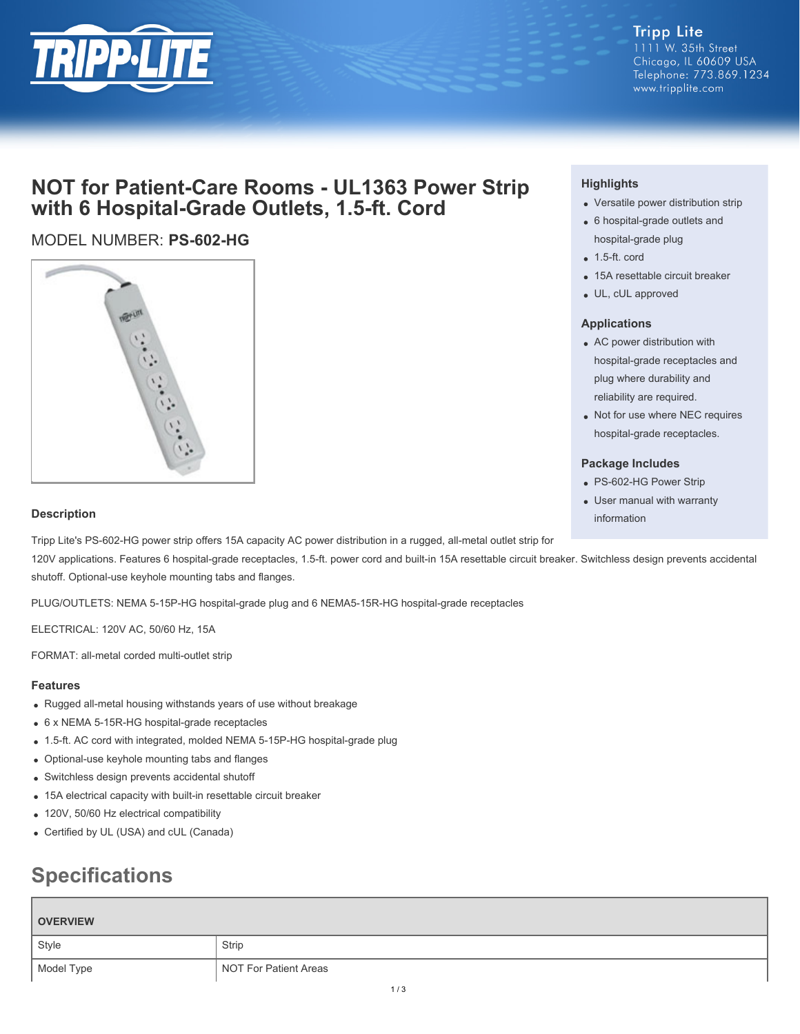

#### **Tripp Lite** 1111 W. 35th Street Chicago, IL 60609 USA Telephone: 773.869.1234 www.tripplite.com

# **NOT for Patient-Care Rooms - UL1363 Power Strip with 6 Hospital-Grade Outlets, 1.5-ft. Cord**

## MODEL NUMBER: **PS-602-HG**



### **Highlights**

- Versatile power distribution strip
- 6 hospital-grade outlets and hospital-grade plug
- $\bullet$  1.5-ft. cord
- 15A resettable circuit breaker
- UL, cUL approved

#### **Applications**

- AC power distribution with hospital-grade receptacles and plug where durability and reliability are required.
- Not for use where NEC requires hospital-grade receptacles.

#### **Package Includes**

- PS-602-HG Power Strip
- User manual with warranty information

#### **Description**

Tripp Lite's PS-602-HG power strip offers 15A capacity AC power distribution in a rugged, all-metal outlet strip for

120V applications. Features 6 hospital-grade receptacles, 1.5-ft. power cord and built-in 15A resettable circuit breaker. Switchless design prevents accidental shutoff. Optional-use keyhole mounting tabs and flanges.

PLUG/OUTLETS: NEMA 5-15P-HG hospital-grade plug and 6 NEMA5-15R-HG hospital-grade receptacles

ELECTRICAL: 120V AC, 50/60 Hz, 15A

FORMAT: all-metal corded multi-outlet strip

#### **Features**

- Rugged all-metal housing withstands years of use without breakage
- 6 x NEMA 5-15R-HG hospital-grade receptacles
- 1.5-ft. AC cord with integrated, molded NEMA 5-15P-HG hospital-grade plug
- Optional-use keyhole mounting tabs and flanges
- Switchless design prevents accidental shutoff
- 15A electrical capacity with built-in resettable circuit breaker
- 120V, 50/60 Hz electrical compatibility
- Certified by UL (USA) and cUL (Canada)

# **Specifications**

| <b>OVERVIEW</b> |                       |
|-----------------|-----------------------|
| Style           | Strip                 |
| Model Type      | NOT For Patient Areas |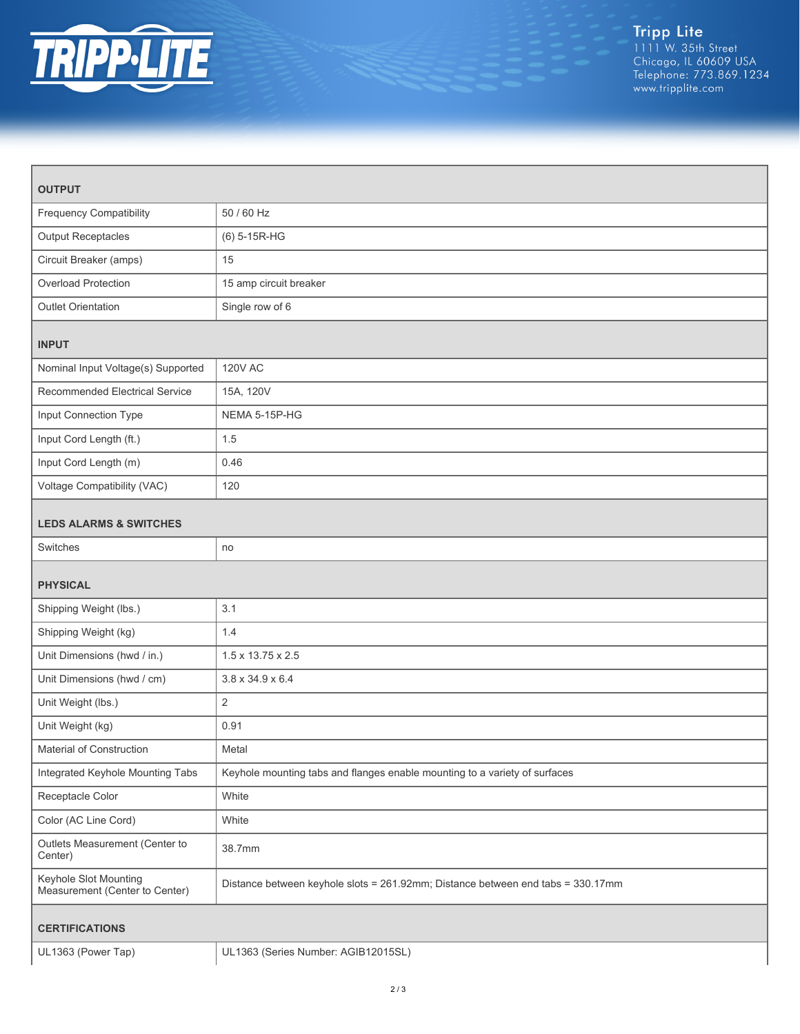

| <b>OUTPUT</b>                                           |                                                                                 |  |
|---------------------------------------------------------|---------------------------------------------------------------------------------|--|
| <b>Frequency Compatibility</b>                          | 50 / 60 Hz                                                                      |  |
| <b>Output Receptacles</b>                               | (6) 5-15R-HG                                                                    |  |
| Circuit Breaker (amps)                                  | 15                                                                              |  |
| Overload Protection                                     | 15 amp circuit breaker                                                          |  |
| <b>Outlet Orientation</b>                               | Single row of 6                                                                 |  |
| <b>INPUT</b>                                            |                                                                                 |  |
| Nominal Input Voltage(s) Supported                      | <b>120V AC</b>                                                                  |  |
| Recommended Electrical Service                          | 15A, 120V                                                                       |  |
| Input Connection Type                                   | NEMA 5-15P-HG                                                                   |  |
| Input Cord Length (ft.)                                 | 1.5                                                                             |  |
| Input Cord Length (m)                                   | 0.46                                                                            |  |
| Voltage Compatibility (VAC)                             | 120                                                                             |  |
| <b>LEDS ALARMS &amp; SWITCHES</b>                       |                                                                                 |  |
| Switches                                                | no                                                                              |  |
| <b>PHYSICAL</b>                                         |                                                                                 |  |
| Shipping Weight (lbs.)                                  | 3.1                                                                             |  |
| Shipping Weight (kg)                                    | 1.4                                                                             |  |
| Unit Dimensions (hwd / in.)                             | 1.5 x 13.75 x 2.5                                                               |  |
| Unit Dimensions (hwd / cm)                              | $3.8 \times 34.9 \times 6.4$                                                    |  |
| Unit Weight (lbs.)                                      | $\overline{2}$                                                                  |  |
| Unit Weight (kg)                                        | 0.91                                                                            |  |
| Material of Construction                                | Metal                                                                           |  |
| Integrated Keyhole Mounting Tabs                        | Keyhole mounting tabs and flanges enable mounting to a variety of surfaces      |  |
| Receptacle Color                                        | White                                                                           |  |
| Color (AC Line Cord)                                    | White                                                                           |  |
| Outlets Measurement (Center to<br>Center)               | 38.7mm                                                                          |  |
| Keyhole Slot Mounting<br>Measurement (Center to Center) | Distance between keyhole slots = 261.92mm; Distance between end tabs = 330.17mm |  |
| <b>CERTIFICATIONS</b>                                   |                                                                                 |  |
| UL1363 (Power Tap)                                      | UL1363 (Series Number: AGIB12015SL)                                             |  |